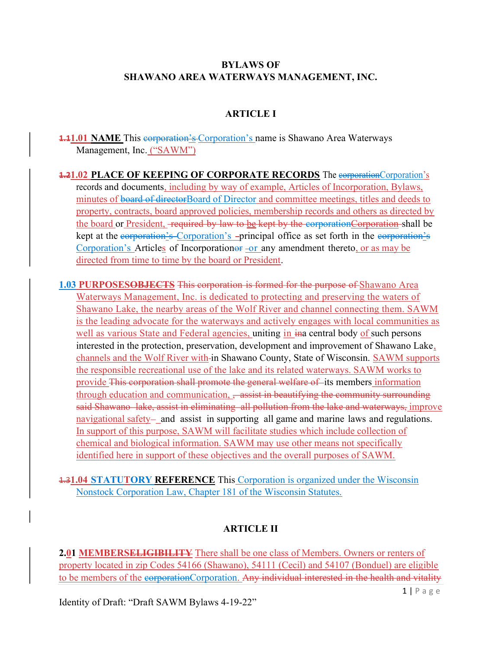#### BYLAWS OF SHAWANO AREA WATERWAYS MANAGEMENT, INC.

### ARTICLE I

**1.11.01 NAME** This corporation's Corporation's name is Shawano Area Waterways Management, Inc. ("SAWM")

**1.21.02 PLACE OF KEEPING OF CORPORATE RECORDS** The corporationCorporation's records and documents, including by way of example, Articles of Incorporation, Bylaws, minutes of board of directorBoard of Director and committee meetings, titles and deeds to property, contracts, board approved policies, membership records and others as directed by the board or President, -required by law to be kept by the corporation Corporation shall be kept at the corporation's Corporation's -principal office as set forth in the corporation's Corporation's Articles of Incorporation or  $-$ or any amendment thereto, or as may be directed from time to time by the board or President.

**1.03 PURPOSESOBJECTS** This corporation is formed for the purpose of Shawano Area Waterways Management, Inc. is dedicated to protecting and preserving the waters of Shawano Lake, the nearby areas of the Wolf River and channel connecting them. SAWM is the leading advocate for the waterways and actively engages with local communities as well as various State and Federal agencies, uniting in in a central body of such persons interested in the protection, preservation, development and improvement of Shawano Lake, channels and the Wolf River with in Shawano County, State of Wisconsin. SAWM supports the responsible recreational use of the lake and its related waterways. SAWM works to provide This corporation shall promote the general welfare of its members information through education and communication, <del>assist in beautifying the community surrounding</del> said Shawano lake, assist in eliminating all pollution from the lake and waterways, improve navigational safety- and assist in supporting all game and marine laws and regulations. In support of this purpose, SAWM will facilitate studies which include collection of chemical and biological information. SAWM may use other means not specifically identified here in support of these objectives and the overall purposes of SAWM.

1.31.04 STATUTORY REFERENCE This Corporation is organized under the Wisconsin Nonstock Corporation Law, Chapter 181 of the Wisconsin Statutes.

#### ARTICLE II

2.01 MEMBERSELIGIBILITY There shall be one class of Members. Owners or renters of property located in zip Codes 54166 (Shawano), 54111 (Cecil) and 54107 (Bonduel) are eligible to be members of the corporationCorporation. Any individual interested in the health and vitality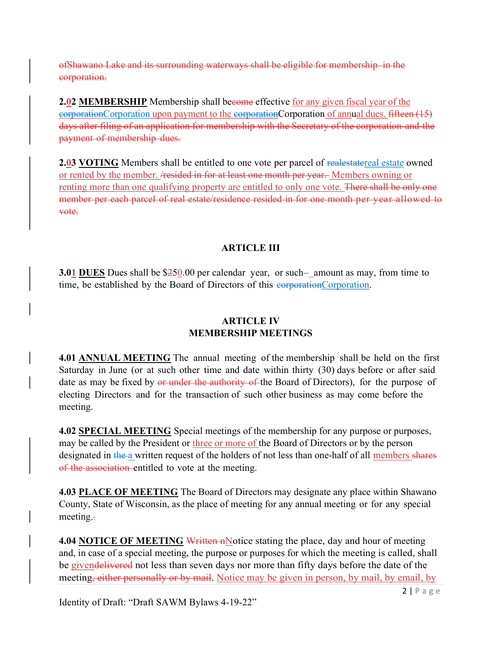of Shawano Lake and its surrounding waterways shall be eligible for membership in the corporation.

2.02 MEMBERSHIP Membership shall become effective for any given fiscal year of the corporationCorporation upon payment to the corporationCorporation of annual dues. fifteen (15) days after filing of an application for membership with the Secretary of the corporation and the payment of membership dues.

**2.03 VOTING** Members shall be entitled to one vote per parcel of realestatereal estate owned or rented by the member. /resided in for at least one month per year. Members owning or renting more than one qualifying property are entitled to only one vote. There shall be only one member per each parcel of real estate/residence resided in for one month per year allowed to vote.

## ARTICLE III

**3.01 DUES** Dues shall be  $$250.00$  per calendar year, or such amount as may, from time to time, be established by the Board of Directors of this corporationCorporation.

## ARTICLE IV MEMBERSHIP MEETINGS

4.01 ANNUAL MEETING The annual meeting of the membership shall be held on the first Saturday in June (or at such other time and date within thirty (30) days before or after said date as may be fixed by or under the authority of the Board of Directors), for the purpose of electing Directors and for the transaction of such other business as may come before the meeting.

4.02 SPECIAL MEETING Special meetings of the membership for any purpose or purposes, may be called by the President or three or more of the Board of Directors or by the person designated in the a written request of the holders of not less than one-half of all members shares of the association entitled to vote at the meeting.

4.03 PLACE OF MEETING The Board of Directors may designate any place within Shawano County, State of Wisconsin, as the place of meeting for any annual meeting or for any special meeting.

4.04 NOTICE OF MEETING Written nNotice stating the place, day and hour of meeting and, in case of a special meeting, the purpose or purposes for which the meeting is called, shall be givendelivered not less than seven days nor more than fifty days before the date of the meeting, either personally or by mail. Notice may be given in person, by mail, by email, by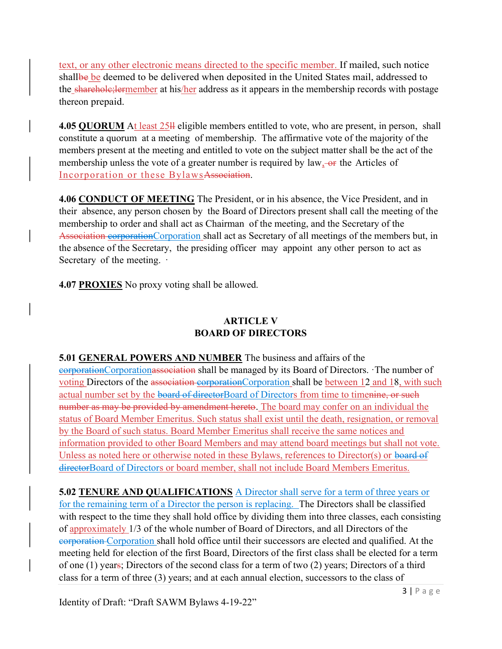text, or any other electronic means directed to the specific member. If mailed, such notice shallbe be deemed to be delivered when deposited in the United States mail, addressed to the sharehole; lermember at his/her address as it appears in the membership records with postage thereon prepaid.

4.05 QUORUM At least 25<sup>11</sup> eligible members entitled to vote, who are present, in person, shall constitute a quorum at a meeting of membership. The affirmative vote of the majority of the members present at the meeting and entitled to vote on the subject matter shall be the act of the membership unless the vote of a greater number is required by  $law, -or$  the Articles of Incorporation or these BylawsAssociation.

4.06 CONDUCT OF MEETING The President, or in his absence, the Vice President, and in their absence, any person chosen by the Board of Directors present shall call the meeting of the membership to order and shall act as Chairman of the meeting, and the Secretary of the Association corporationCorporation shall act as Secretary of all meetings of the members but, in the absence of the Secretary, the presiding officer may appoint any other person to act as Secretary of the meeting.  $\cdot$ 

4.07 PROXIES No proxy voting shall be allowed.

## ARTICLE V BOARD OF DIRECTORS

5.01 GENERAL POWERS AND NUMBER The business and affairs of the corporationCorporationassociation shall be managed by its Board of Directors. ·The number of voting Directors of the association corporationCorporation shall be between 12 and 18, with such actual number set by the board of directorBoard of Directors from time to timenine, or such number as may be provided by amendment hereto. The board may confer on an individual the status of Board Member Emeritus. Such status shall exist until the death, resignation, or removal by the Board of such status. Board Member Emeritus shall receive the same notices and information provided to other Board Members and may attend board meetings but shall not vote. Unless as noted here or otherwise noted in these Bylaws, references to Director(s) or board of directorBoard of Directors or board member, shall not include Board Members Emeritus.

5.02 TENURE AND QUALIFICATIONS A Director shall serve for a term of three years or for the remaining term of a Director the person is replacing. The Directors shall be classified with respect to the time they shall hold office by dividing them into three classes, each consisting of approximately 1/3 of the whole number of Board of Directors, and all Directors of the corporation Corporation shall hold office until their successors are elected and qualified. At the meeting held for election of the first Board, Directors of the first class shall be elected for a term of one (1) years; Directors of the second class for a term of two (2) years; Directors of a third class for a term of three (3) years; and at each annual election, successors to the class of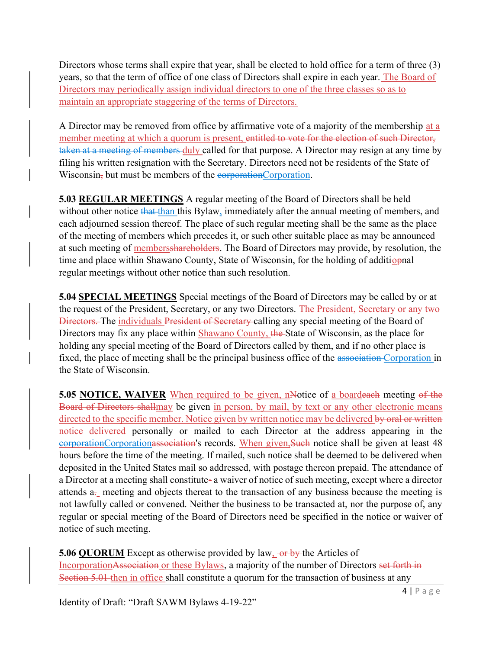Directors whose terms shall expire that year, shall be elected to hold office for a term of three (3) years, so that the term of office of one class of Directors shall expire in each year. The Board of Directors may periodically assign individual directors to one of the three classes so as to maintain an appropriate staggering of the terms of Directors.

A Director may be removed from office by affirmative vote of a majority of the membership at a member meeting at which a quorum is present, entitled to vote for the election of such Director, taken at a meeting of members duly called for that purpose. A Director may resign at any time by filing his written resignation with the Secretary. Directors need not be residents of the State of Wisconsin, but must be members of the corporationCorporation.

5.03 REGULAR MEETINGS A regular meeting of the Board of Directors shall be held without other notice that than this Bylaw, immediately after the annual meeting of members, and each adjourned session thereof. The place of such regular meeting shall be the same as the place of the meeting of members which precedes it, or such other suitable place as may be announced at such meeting of membersshareholders. The Board of Directors may provide, by resolution, the time and place within Shawano County, State of Wisconsin, for the holding of additional regular meetings without other notice than such resolution.

5.04 SPECIAL MEETINGS Special meetings of the Board of Directors may be called by or at the request of the President, Secretary, or any two Directors. The President, Secretary or any two Directors. The individuals President of Secretary calling any special meeting of the Board of Directors may fix any place within Shawano County, the State of Wisconsin, as the place for holding any special meeting of the Board of Directors called by them, and if no other place is fixed, the place of meeting shall be the principal business office of the association Corporation in the State of Wisconsin.

5.05 NOTICE, WAIVER When required to be given, nNotice of a boardeach meeting of the Board of Directors shallmay be given in person, by mail, by text or any other electronic means directed to the specific member. Notice given by written notice may be delivered by oral or written notice delivered personally or mailed to each Director at the address appearing in the corporationCorporationassociation's records. When given,Such notice shall be given at least 48 hours before the time of the meeting. If mailed, such notice shall be deemed to be delivered when deposited in the United States mail so addressed, with postage thereon prepaid. The attendance of a Director at a meeting shall constitute- a waiver of notice of such meeting, except where a director attends  $a_{\tau}$  meeting and objects thereat to the transaction of any business because the meeting is not lawfully called or convened. Neither the business to be transacted at, nor the purpose of, any regular or special meeting of the Board of Directors need be specified in the notice or waiver of notice of such meeting.

5.06 QUORUM Except as otherwise provided by law, or by the Articles of IncorporationAssociation or these Bylaws, a majority of the number of Directors set forth in Section 5.01 then in office shall constitute a quorum for the transaction of business at any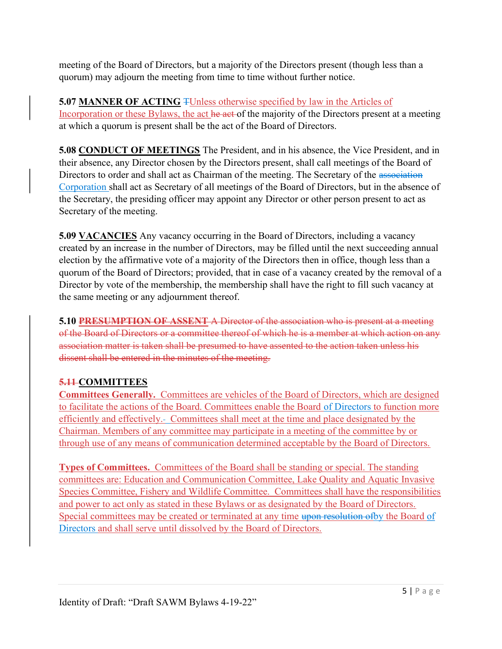meeting of the Board of Directors, but a majority of the Directors present (though less than a quorum) may adjourn the meeting from time to time without further notice.

**5.07 MANNER OF ACTING TUnless otherwise specified by law in the Articles of** Incorporation or these Bylaws, the act he act of the majority of the Directors present at a meeting at which a quorum is present shall be the act of the Board of Directors.

5.08 CONDUCT OF MEETINGS The President, and in his absence, the Vice President, and in their absence, any Director chosen by the Directors present, shall call meetings of the Board of Directors to order and shall act as Chairman of the meeting. The Secretary of the association Corporation shall act as Secretary of all meetings of the Board of Directors, but in the absence of the Secretary, the presiding officer may appoint any Director or other person present to act as Secretary of the meeting.

5.09 **VACANCIES** Any vacancy occurring in the Board of Directors, including a vacancy created by an increase in the number of Directors, may be filled until the next succeeding annual election by the affirmative vote of a majority of the Directors then in office, though less than a quorum of the Board of Directors; provided, that in case of a vacancy created by the removal of a Director by vote of the membership, the membership shall have the right to fill such vacancy at the same meeting or any adjournment thereof.

5.10 PRESUMPTION OF ASSENT A Director of the association who is present at a meeting of the Board of Directors or a committee thereof of which he is a member at which action on any association matter is taken shall be presumed to have assented to the action taken unless his dissent shall be entered in the minutes of the meeting.

# 5.11-COMMITTEES

Committees Generally. Committees are vehicles of the Board of Directors, which are designed to facilitate the actions of the Board. Committees enable the Board of Directors to function more efficiently and effectively. Committees shall meet at the time and place designated by the Chairman. Members of any committee may participate in a meeting of the committee by or through use of any means of communication determined acceptable by the Board of Directors.

Types of Committees. Committees of the Board shall be standing or special. The standing committees are: Education and Communication Committee, Lake Quality and Aquatic Invasive Species Committee, Fishery and Wildlife Committee. Committees shall have the responsibilities and power to act only as stated in these Bylaws or as designated by the Board of Directors. Special committees may be created or terminated at any time upon resolution of by the Board of Directors and shall serve until dissolved by the Board of Directors.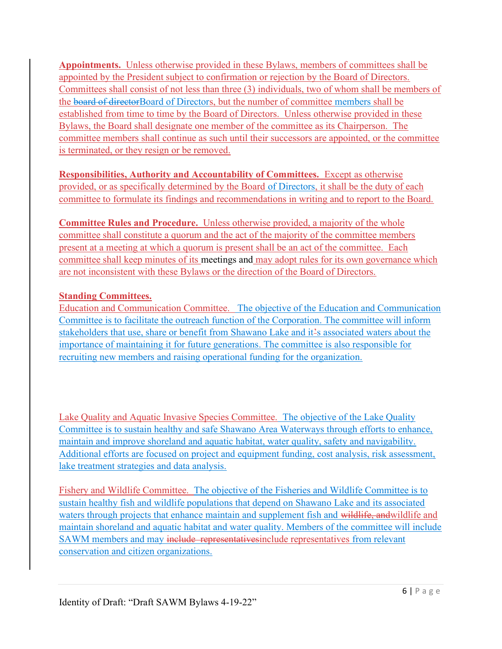Appointments. Unless otherwise provided in these Bylaws, members of committees shall be appointed by the President subject to confirmation or rejection by the Board of Directors. Committees shall consist of not less than three (3) individuals, two of whom shall be members of the board of directorBoard of Directors, but the number of committee members shall be established from time to time by the Board of Directors. Unless otherwise provided in these Bylaws, the Board shall designate one member of the committee as its Chairperson. The committee members shall continue as such until their successors are appointed, or the committee is terminated, or they resign or be removed.

Responsibilities, Authority and Accountability of Committees. Except as otherwise provided, or as specifically determined by the Board of Directors, it shall be the duty of each committee to formulate its findings and recommendations in writing and to report to the Board.

Committee Rules and Procedure. Unless otherwise provided, a majority of the whole committee shall constitute a quorum and the act of the majority of the committee members present at a meeting at which a quorum is present shall be an act of the committee. Each committee shall keep minutes of its meetings and may adopt rules for its own governance which are not inconsistent with these Bylaws or the direction of the Board of Directors.

# Standing Committees.

Education and Communication Committee. The objective of the Education and Communication Committee is to facilitate the outreach function of the Corporation. The committee will inform stakeholders that use, share or benefit from Shawano Lake and it's associated waters about the importance of maintaining it for future generations. The committee is also responsible for recruiting new members and raising operational funding for the organization.

Lake Quality and Aquatic Invasive Species Committee. The objective of the Lake Quality Committee is to sustain healthy and safe Shawano Area Waterways through efforts to enhance, maintain and improve shoreland and aquatic habitat, water quality, safety and navigability. Additional efforts are focused on project and equipment funding, cost analysis, risk assessment, lake treatment strategies and data analysis.

Fishery and Wildlife Committee. The objective of the Fisheries and Wildlife Committee is to sustain healthy fish and wildlife populations that depend on Shawano Lake and its associated waters through projects that enhance maintain and supplement fish and wildlife, andwildlife and maintain shoreland and aquatic habitat and water quality. Members of the committee will include SAWM members and may include representativesinclude representatives from relevant conservation and citizen organizations.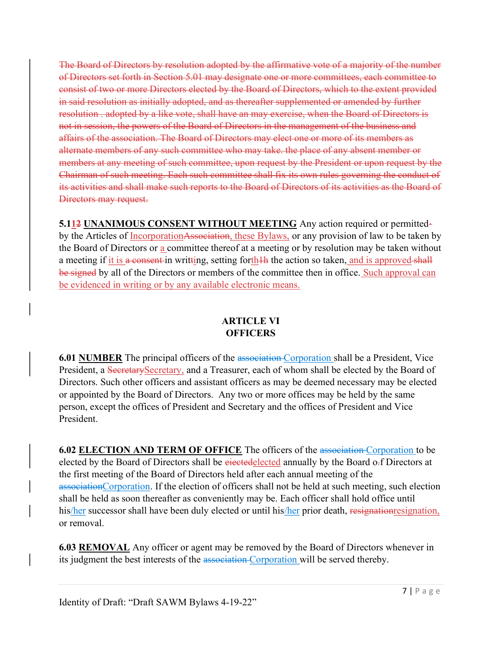The Board of Directors by resolution adopted by the affirmative vote of a majority of the number of Directors set forth in Section 5.01 may designate one or more committees, each committee to consist of two or more Directors elected by the Board of Directors, which to the extent provided in said resolution as initially adopted, and as thereafter supplemented or amended by further resolution . adopted by a like vote, shall have an may exercise, when the Board of Directors is not in session, the powers of the Board of Directors in the management of the business and affairs of the association. The Board of Directors may elect one or more of its members as alternate members of any such committee who may take. the place of any absent member or members at any meeting of such committee, upon request by the President or upon request by the Chairman of such meeting. Each such committee shall fix its own rules governing the conduct of its activities and shall make such reports to the Board of Directors of its activities as the Board of Directors may request.

5.112 UNANIMOUS CONSENT WITHOUT MEETING Any action required or permitted· by the Articles of <u>IncorporationAssociation</u>, these Bylaws, or any provision of law to be taken by the Board of Directors or a committee thereof at a meeting or by resolution may be taken without a meeting if it is a consent-in writting, setting forth<sup>th</sup> the action so taken, and is approved-shall be signed by all of the Directors or members of the committee then in office. Such approval can be evidenced in writing or by any available electronic means.

### ARTICLE VI **OFFICERS**

6.01 NUMBER The principal officers of the association-Corporation shall be a President, Vice President, a SecretarySecretary, and a Treasurer, each of whom shall be elected by the Board of Directors. Such other officers and assistant officers as may be deemed necessary may be elected or appointed by the Board of Directors. Any two or more offices may be held by the same person, except the offices of President and Secretary and the offices of President and Vice President.

6.02 ELECTION AND TERM OF OFFICE The officers of the association Corporation to be elected by the Board of Directors shall be eiectedelected annually by the Board o-f Directors at the first meeting of the Board of Directors held after each annual meeting of the associationCorporation. If the election of officers shall not be held at such meeting, such election shall be held as soon thereafter as conveniently may be. Each officer shall hold office until his/her successor shall have been duly elected or until his/her prior death, resignationresignation, or removal.

**6.03 REMOVAL** Any officer or agent may be removed by the Board of Directors whenever in its judgment the best interests of the association Corporation will be served thereby.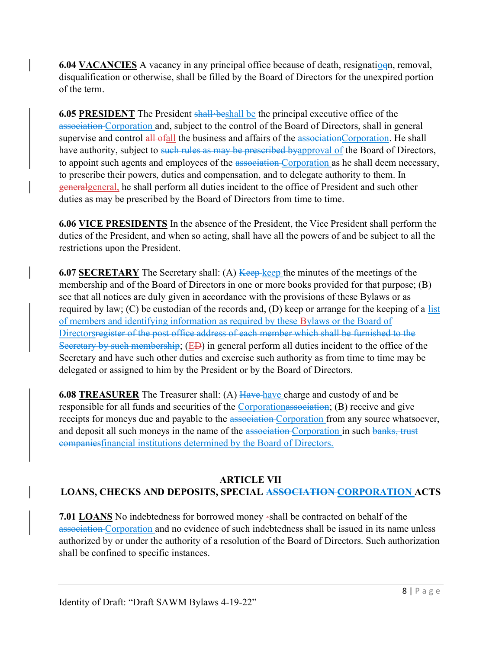6.04 VACANCIES A vacancy in any principal office because of death, resignation, removal, disqualification or otherwise, shall be filled by the Board of Directors for the unexpired portion of the term.

6.05 PRESIDENT The President shall·beshall be the principal executive office of the association Corporation and, subject to the control of the Board of Directors, shall in general supervise and control all ofall the business and affairs of the associationCorporation. He shall have authority, subject to such rules as may be prescribed byapproval of the Board of Directors, to appoint such agents and employees of the association Corporation as he shall deem necessary, to prescribe their powers, duties and compensation, and to delegate authority to them. In generalgeneral, he shall perform all duties incident to the office of President and such other duties as may be prescribed by the Board of Directors from time to time.

6.06 VICE PRESIDENTS In the absence of the President, the Vice President shall perform the duties of the President, and when so acting, shall have all the powers of and be subject to all the restrictions upon the President.

**6.07 SECRETARY** The Secretary shall: (A) Keep keep the minutes of the meetings of the membership and of the Board of Directors in one or more books provided for that purpose; (B) see that all notices are duly given in accordance with the provisions of these Bylaws or as required by law; (C) be custodian of the records and, (D) keep or arrange for the keeping of a list of members and identifying information as required by these Bylaws or the Board of Directorsregister of the post office address of each member which shall be furnished to the Secretary by such membership; (ED) in general perform all duties incident to the office of the Secretary and have such other duties and exercise such authority as from time to time may be delegated or assigned to him by the President or by the Board of Directors.

**6.08 TREASURER** The Treasurer shall: (A)  $\overline{Have}$  have charge and custody of and be responsible for all funds and securities of the Corporationassociation; (B) receive and give receipts for moneys due and payable to the association Corporation from any source whatsoever, and deposit all such moneys in the name of the association Corporation in such banks, trust companiesfinancial institutions determined by the Board of Directors.

# ARTICLE VII LOANS, CHECKS AND DEPOSITS, SPECIAL ASSOCIATION CORPORATION ACTS

7.01 LOANS No indebtedness for borrowed money ·shall be contracted on behalf of the association Corporation and no evidence of such indebtedness shall be issued in its name unless authorized by or under the authority of a resolution of the Board of Directors. Such authorization shall be confined to specific instances.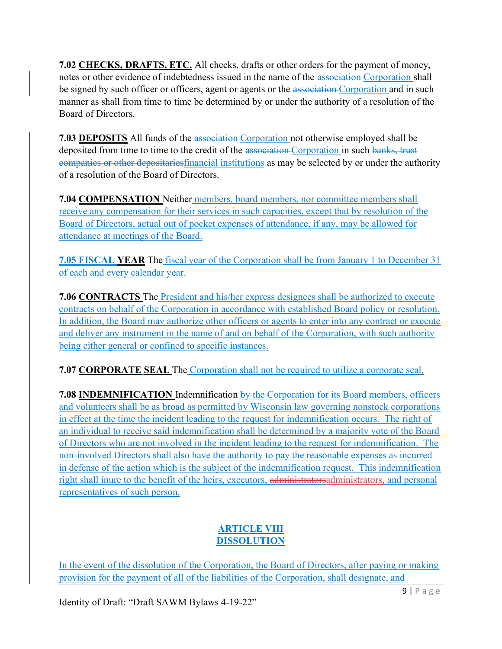7.02 CHECKS, DRAFTS, ETC. All checks, drafts or other orders for the payment of money, notes or other evidence of indebtedness issued in the name of the association Corporation shall be signed by such officer or officers, agent or agents or the association Corporation and in such manner as shall from time to time be determined by or under the authority of a resolution of the Board of Directors.

**7.03 DEPOSITS** All funds of the association Corporation not otherwise employed shall be deposited from time to time to the credit of the association Corporation in such banks, trust companies or other depositariesfinancial institutions as may be selected by or under the authority of a resolution of the Board of Directors.

7.04 COMPENSATION Neither members, board members, nor committee members shall receive any compensation for their services in such capacities, except that by resolution of the Board of Directors, actual out of pocket expenses of attendance, if any, may be allowed for attendance at meetings of the Board.

7.05 FISCAL YEAR The fiscal year of the Corporation shall be from January 1 to December 31 of each and every calendar year.

7.06 CONTRACTS The President and his/her express designees shall be authorized to execute contracts on behalf of the Corporation in accordance with established Board policy or resolution. In addition, the Board may authorize other officers or agents to enter into any contract or execute and deliver any instrument in the name of and on behalf of the Corporation, with such authority being either general or confined to specific instances.

7.07 CORPORATE SEAL The Corporation shall not be required to utilize a corporate seal.

7.08 INDEMNIFICATION Indemnification by the Corporation for its Board members, officers and volunteers shall be as broad as permitted by Wisconsin law governing nonstock corporations in effect at the time the incident leading to the request for indemnification occurs. The right of an individual to receive said indemnification shall be determined by a majority vote of the Board of Directors who are not involved in the incident leading to the request for indemnification. The non-involved Directors shall also have the authority to pay the reasonable expenses as incurred in defense of the action which is the subject of the indemnification request. This indemnification right shall inure to the benefit of the heirs, executors, administratorsadministrators, and personal representatives of such person.

# **ARTICLE VIII** DISSOLUTION

In the event of the dissolution of the Corporation, the Board of Directors, after paying or making provision for the payment of all of the liabilities of the Corporation, shall designate, and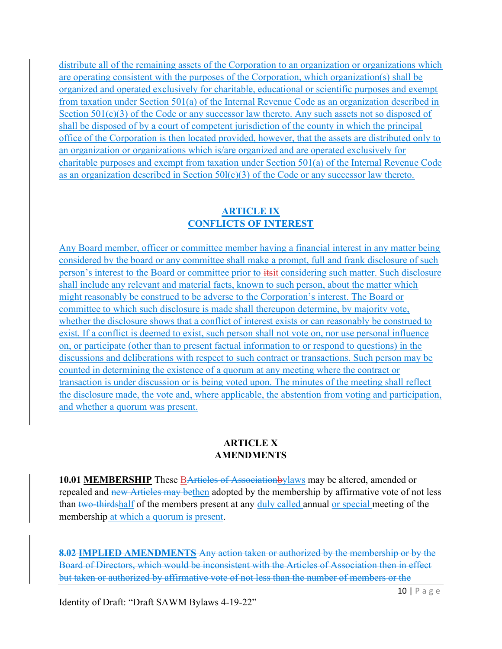distribute all of the remaining assets of the Corporation to an organization or organizations which are operating consistent with the purposes of the Corporation, which organization(s) shall be organized and operated exclusively for charitable, educational or scientific purposes and exempt from taxation under Section 501(a) of the Internal Revenue Code as an organization described in Section  $501(c)(3)$  of the Code or any successor law thereto. Any such assets not so disposed of shall be disposed of by a court of competent jurisdiction of the county in which the principal office of the Corporation is then located provided, however, that the assets are distributed only to an organization or organizations which is/are organized and are operated exclusively for charitable purposes and exempt from taxation under Section 501(a) of the Internal Revenue Code as an organization described in Section  $50I(c)(3)$  of the Code or any successor law thereto.

## ARTICLE IX CONFLICTS OF INTEREST

Any Board member, officer or committee member having a financial interest in any matter being considered by the board or any committee shall make a prompt, full and frank disclosure of such person's interest to the Board or committee prior to itsit considering such matter. Such disclosure shall include any relevant and material facts, known to such person, about the matter which might reasonably be construed to be adverse to the Corporation's interest. The Board or committee to which such disclosure is made shall thereupon determine, by majority vote, whether the disclosure shows that a conflict of interest exists or can reasonably be construed to exist. If a conflict is deemed to exist, such person shall not vote on, nor use personal influence on, or participate (other than to present factual information to or respond to questions) in the discussions and deliberations with respect to such contract or transactions. Such person may be counted in determining the existence of a quorum at any meeting where the contract or transaction is under discussion or is being voted upon. The minutes of the meeting shall reflect the disclosure made, the vote and, where applicable, the abstention from voting and participation, and whether a quorum was present.

#### ARTICLE X **AMENDMENTS**

**10.01 MEMBERSHIP** These **BArticles of Associationbylaws** may be altered, amended or repealed and new Articles may bethen adopted by the membership by affirmative vote of not less than two-thirdshalf of the members present at any duly called annual or special meeting of the membership at which a quorum is present.

8.02 IMPLIED AMENDMENTS Any action taken or authorized by the membership or by the Board of Directors, which would be inconsistent with the Articles of Association then in effect but taken or authorized by affirmative vote of not less than the number of members or the